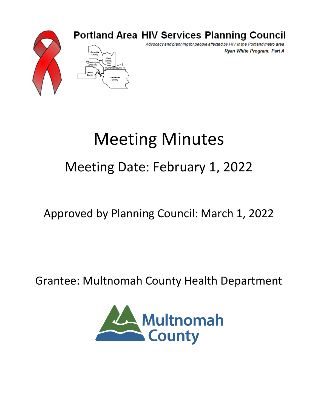

### **Portland Area HIV Services Planning Council**

Advocacy and planning for people affected by HIV in the Portland metro area Ryan White Program, Part A

# Meeting Minutes Meeting Date: February 1, 2022

## Approved by Planning Council: March 1, 2022

### Grantee: Multnomah County Health Department

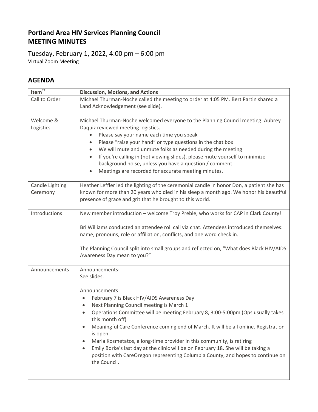#### **Portland Area HIV Services Planning Council MEETING MINUTES**

Tuesday, February 1, 2022, 4:00 pm – 6:00 pm Virtual Zoom Meeting

#### **AGENDA**

I

| Item $\overline{\mathbf{r}^*}$ | <b>Discussion, Motions, and Actions</b>                                                                         |  |  |  |  |  |  |
|--------------------------------|-----------------------------------------------------------------------------------------------------------------|--|--|--|--|--|--|
| Call to Order                  | Michael Thurman-Noche called the meeting to order at 4:05 PM. Bert Partin shared a                              |  |  |  |  |  |  |
|                                | Land Acknowledgement (see slide).                                                                               |  |  |  |  |  |  |
| Welcome &                      | Michael Thurman-Noche welcomed everyone to the Planning Council meeting. Aubrey                                 |  |  |  |  |  |  |
| Logistics                      | Daquiz reviewed meeting logistics.                                                                              |  |  |  |  |  |  |
|                                | Please say your name each time you speak                                                                        |  |  |  |  |  |  |
|                                | Please "raise your hand" or type questions in the chat box<br>٠                                                 |  |  |  |  |  |  |
|                                | We will mute and unmute folks as needed during the meeting<br>٠                                                 |  |  |  |  |  |  |
|                                | If you're calling in (not viewing slides), please mute yourself to minimize                                     |  |  |  |  |  |  |
|                                | background noise, unless you have a question / comment                                                          |  |  |  |  |  |  |
|                                | Meetings are recorded for accurate meeting minutes.                                                             |  |  |  |  |  |  |
| Candle Lighting                | Heather Leffler led the lighting of the ceremonial candle in honor Don, a patient she has                       |  |  |  |  |  |  |
| Ceremony                       | known for more than 20 years who died in his sleep a month ago. We honor his beautiful                          |  |  |  |  |  |  |
|                                | presence of grace and grit that he brought to this world.                                                       |  |  |  |  |  |  |
| Introductions                  | New member introduction - welcome Troy Preble, who works for CAP in Clark County!                               |  |  |  |  |  |  |
|                                |                                                                                                                 |  |  |  |  |  |  |
|                                | Bri Williams conducted an attendee roll call via chat. Attendees introduced themselves:                         |  |  |  |  |  |  |
|                                | name, pronouns, role or affiliation, conflicts, and one word check in.                                          |  |  |  |  |  |  |
|                                | The Planning Council split into small groups and reflected on, "What does Black HIV/AIDS                        |  |  |  |  |  |  |
|                                | Awareness Day mean to you?"                                                                                     |  |  |  |  |  |  |
| Announcements                  | Announcements:                                                                                                  |  |  |  |  |  |  |
|                                | See slides.                                                                                                     |  |  |  |  |  |  |
|                                | Announcements                                                                                                   |  |  |  |  |  |  |
|                                | February 7 is Black HIV/AIDS Awareness Day                                                                      |  |  |  |  |  |  |
|                                | Next Planning Council meeting is March 1                                                                        |  |  |  |  |  |  |
|                                | Operations Committee will be meeting February 8, 3:00-5:00pm (Ops usually takes<br>$\bullet$<br>this month off) |  |  |  |  |  |  |
|                                | Meaningful Care Conference coming end of March. It will be all online. Registration<br>is open.                 |  |  |  |  |  |  |
|                                | Maria Kosmetatos, a long-time provider in this community, is retiring                                           |  |  |  |  |  |  |
|                                | Emily Borke's last day at the clinic will be on February 18. She will be taking a                               |  |  |  |  |  |  |
|                                | position with CareOregon representing Columbia County, and hopes to continue on<br>the Council.                 |  |  |  |  |  |  |
|                                |                                                                                                                 |  |  |  |  |  |  |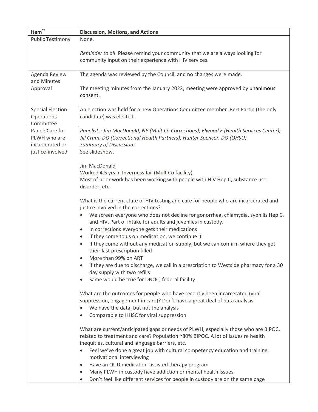| Item $*$                                                               | <b>Discussion, Motions, and Actions</b>                                                                                                                                                                                                                                                                                                                                                                                                                                                                                                                                |  |  |  |  |  |  |  |
|------------------------------------------------------------------------|------------------------------------------------------------------------------------------------------------------------------------------------------------------------------------------------------------------------------------------------------------------------------------------------------------------------------------------------------------------------------------------------------------------------------------------------------------------------------------------------------------------------------------------------------------------------|--|--|--|--|--|--|--|
| <b>Public Testimony</b>                                                | None.                                                                                                                                                                                                                                                                                                                                                                                                                                                                                                                                                                  |  |  |  |  |  |  |  |
|                                                                        | Reminder to all: Please remind your community that we are always looking for<br>community input on their experience with HIV services.                                                                                                                                                                                                                                                                                                                                                                                                                                 |  |  |  |  |  |  |  |
| Agenda Review                                                          | The agenda was reviewed by the Council, and no changes were made.                                                                                                                                                                                                                                                                                                                                                                                                                                                                                                      |  |  |  |  |  |  |  |
| and Minutes<br>Approval                                                | The meeting minutes from the January 2022, meeting were approved by unanimous<br>consent.                                                                                                                                                                                                                                                                                                                                                                                                                                                                              |  |  |  |  |  |  |  |
| <b>Special Election:</b><br>Operations<br>Committee                    | An election was held for a new Operations Committee member. Bert Partin (the only<br>candidate) was elected.                                                                                                                                                                                                                                                                                                                                                                                                                                                           |  |  |  |  |  |  |  |
| Panel: Care for<br>PLWH who are<br>incarcerated or<br>justice-involved | Panelists: Jim MacDonald, NP (Mult Co Corrections); Elwood E (Health Services Center);<br>Jill Crum, DO (Correctional Health Partners); Hunter Spencer, DO (OHSU)<br><b>Summary of Discussion:</b><br>See slideshow.                                                                                                                                                                                                                                                                                                                                                   |  |  |  |  |  |  |  |
|                                                                        | Jim MacDonald                                                                                                                                                                                                                                                                                                                                                                                                                                                                                                                                                          |  |  |  |  |  |  |  |
|                                                                        | Worked 4.5 yrs in Inverness Jail (Mult Co facility).                                                                                                                                                                                                                                                                                                                                                                                                                                                                                                                   |  |  |  |  |  |  |  |
|                                                                        | Most of prior work has been working with people with HIV Hep C, substance use<br>disorder, etc.                                                                                                                                                                                                                                                                                                                                                                                                                                                                        |  |  |  |  |  |  |  |
|                                                                        | What is the current state of HIV testing and care for people who are incarcerated and<br>justice involved in the corrections?                                                                                                                                                                                                                                                                                                                                                                                                                                          |  |  |  |  |  |  |  |
|                                                                        | We screen everyone who does not decline for gonorrhea, chlamydia, syphilis Hep C,<br>and HIV. Part of intake for adults and juveniles in custody.                                                                                                                                                                                                                                                                                                                                                                                                                      |  |  |  |  |  |  |  |
|                                                                        | In corrections everyone gets their medications<br>٠                                                                                                                                                                                                                                                                                                                                                                                                                                                                                                                    |  |  |  |  |  |  |  |
|                                                                        | If they come to us on medication, we continue it<br>٠<br>If they come without any medication supply, but we can confirm where they got                                                                                                                                                                                                                                                                                                                                                                                                                                 |  |  |  |  |  |  |  |
|                                                                        | $\bullet$<br>their last prescription filled<br>More than 99% on ART<br>$\bullet$                                                                                                                                                                                                                                                                                                                                                                                                                                                                                       |  |  |  |  |  |  |  |
|                                                                        | If they are due to discharge, we call in a prescription to Westside pharmacy for a 30<br>$\bullet$<br>day supply with two refills                                                                                                                                                                                                                                                                                                                                                                                                                                      |  |  |  |  |  |  |  |
|                                                                        | Same would be true for DNOC, federal facility<br>٠                                                                                                                                                                                                                                                                                                                                                                                                                                                                                                                     |  |  |  |  |  |  |  |
|                                                                        | What are the outcomes for people who have recently been incarcerated (viral<br>suppression, engagement in care)? Don't have a great deal of data analysis<br>We have the data, but not the analysis<br>٠<br>Comparable to HHSC for viral suppression<br>$\bullet$                                                                                                                                                                                                                                                                                                      |  |  |  |  |  |  |  |
|                                                                        | What are current/anticipated gaps or needs of PLWH, especially those who are BIPOC,<br>related to treatment and care? Population ~80% BIPOC. A lot of issues re health<br>inequities, cultural and language barriers, etc.<br>Feel we've done a great job with cultural competency education and training,<br>٠<br>motivational interviewing<br>Have an OUD medication-assisted therapy program<br>$\bullet$<br>Many PLWH in custody have addiction or mental health issues<br>٠<br>Don't feel like different services for people in custody are on the same page<br>٠ |  |  |  |  |  |  |  |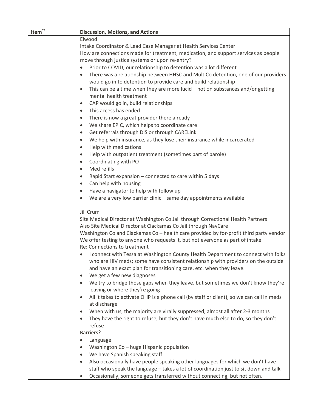| Item <sup>**</sup> | <b>Discussion, Motions, and Actions</b>                                                                                                              |  |  |  |  |  |  |  |
|--------------------|------------------------------------------------------------------------------------------------------------------------------------------------------|--|--|--|--|--|--|--|
|                    | Elwood                                                                                                                                               |  |  |  |  |  |  |  |
|                    | Intake Coordinator & Lead Case Manager at Health Services Center                                                                                     |  |  |  |  |  |  |  |
|                    | How are connections made for treatment, medication, and support services as people                                                                   |  |  |  |  |  |  |  |
|                    | move through justice systems or upon re-entry?                                                                                                       |  |  |  |  |  |  |  |
|                    | Prior to COVID, our relationship to detention was a lot different<br>$\bullet$                                                                       |  |  |  |  |  |  |  |
|                    | There was a relationship between HHSC and Mult Co detention, one of our providers<br>would go in to detention to provide care and build relationship |  |  |  |  |  |  |  |
|                    | This can be a time when they are more lucid $-$ not on substances and/or getting<br>$\bullet$<br>mental health treatment                             |  |  |  |  |  |  |  |
|                    | CAP would go in, build relationships                                                                                                                 |  |  |  |  |  |  |  |
|                    | This access has ended<br>$\bullet$                                                                                                                   |  |  |  |  |  |  |  |
|                    | There is now a great provider there already<br>$\bullet$                                                                                             |  |  |  |  |  |  |  |
|                    | We share EPIC, which helps to coordinate care                                                                                                        |  |  |  |  |  |  |  |
|                    | Get referrals through DIS or through CARELink<br>$\bullet$                                                                                           |  |  |  |  |  |  |  |
|                    | We help with insurance, as they lose their insurance while incarcerated<br>$\bullet$                                                                 |  |  |  |  |  |  |  |
|                    | Help with medications                                                                                                                                |  |  |  |  |  |  |  |
|                    |                                                                                                                                                      |  |  |  |  |  |  |  |
|                    | Help with outpatient treatment (sometimes part of parole)<br>$\bullet$                                                                               |  |  |  |  |  |  |  |
|                    | Coordinating with PO<br>$\bullet$<br>Med refills                                                                                                     |  |  |  |  |  |  |  |
|                    |                                                                                                                                                      |  |  |  |  |  |  |  |
|                    | Rapid Start expansion - connected to care within 5 days                                                                                              |  |  |  |  |  |  |  |
|                    | Can help with housing                                                                                                                                |  |  |  |  |  |  |  |
|                    | Have a navigator to help with follow up                                                                                                              |  |  |  |  |  |  |  |
|                    | We are a very low barrier clinic - same day appointments available                                                                                   |  |  |  |  |  |  |  |
|                    | Jill Crum                                                                                                                                            |  |  |  |  |  |  |  |
|                    | Site Medical Director at Washington Co Jail through Correctional Health Partners                                                                     |  |  |  |  |  |  |  |
|                    | Also Site Medical Director at Clackamas Co Jail through NavCare                                                                                      |  |  |  |  |  |  |  |
|                    |                                                                                                                                                      |  |  |  |  |  |  |  |
|                    | Washington Co and Clackamas Co - health care provided by for-profit third party vendor                                                               |  |  |  |  |  |  |  |
|                    | We offer testing to anyone who requests it, but not everyone as part of intake<br>Re: Connections to treatment                                       |  |  |  |  |  |  |  |
|                    | I connect with Tessa at Washington County Health Department to connect with folks                                                                    |  |  |  |  |  |  |  |
|                    | who are HIV meds; some have consistent relationship with providers on the outside                                                                    |  |  |  |  |  |  |  |
|                    | and have an exact plan for transitioning care, etc. when they leave.                                                                                 |  |  |  |  |  |  |  |
|                    | We get a few new diagnoses                                                                                                                           |  |  |  |  |  |  |  |
|                    | We try to bridge those gaps when they leave, but sometimes we don't know they're                                                                     |  |  |  |  |  |  |  |
|                    | leaving or where they're going                                                                                                                       |  |  |  |  |  |  |  |
|                    | All it takes to activate OHP is a phone call (by staff or client), so we can call in meds                                                            |  |  |  |  |  |  |  |
|                    | at discharge                                                                                                                                         |  |  |  |  |  |  |  |
|                    | When with us, the majority are virally suppressed, almost all after 2-3 months                                                                       |  |  |  |  |  |  |  |
|                    | They have the right to refuse, but they don't have much else to do, so they don't                                                                    |  |  |  |  |  |  |  |
|                    | refuse                                                                                                                                               |  |  |  |  |  |  |  |
|                    | Barriers?                                                                                                                                            |  |  |  |  |  |  |  |
|                    | Language                                                                                                                                             |  |  |  |  |  |  |  |
|                    | Washington Co - huge Hispanic population                                                                                                             |  |  |  |  |  |  |  |
|                    | We have Spanish speaking staff                                                                                                                       |  |  |  |  |  |  |  |
|                    | Also occasionally have people speaking other languages for which we don't have                                                                       |  |  |  |  |  |  |  |
|                    | staff who speak the language - takes a lot of coordination just to sit down and talk                                                                 |  |  |  |  |  |  |  |
|                    | Occasionally, someone gets transferred without connecting, but not often.                                                                            |  |  |  |  |  |  |  |
|                    |                                                                                                                                                      |  |  |  |  |  |  |  |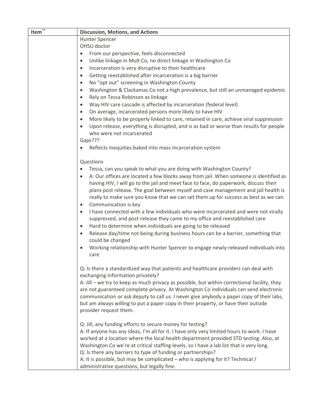| Item $*$ | <b>Discussion, Motions, and Actions</b>                                                                                                                                                                                                                                                                                                                                                                                                                                           |  |  |  |  |  |  |
|----------|-----------------------------------------------------------------------------------------------------------------------------------------------------------------------------------------------------------------------------------------------------------------------------------------------------------------------------------------------------------------------------------------------------------------------------------------------------------------------------------|--|--|--|--|--|--|
|          | Hunter Spencer                                                                                                                                                                                                                                                                                                                                                                                                                                                                    |  |  |  |  |  |  |
|          | OHSU doctor                                                                                                                                                                                                                                                                                                                                                                                                                                                                       |  |  |  |  |  |  |
|          | From our perspective, feels disconnected<br>$\bullet$                                                                                                                                                                                                                                                                                                                                                                                                                             |  |  |  |  |  |  |
|          | Unlike linkage in Mult Co, no direct linkage in Washington Co<br>$\bullet$                                                                                                                                                                                                                                                                                                                                                                                                        |  |  |  |  |  |  |
|          | Incarceration is very disruptive to their healthcare<br>$\bullet$                                                                                                                                                                                                                                                                                                                                                                                                                 |  |  |  |  |  |  |
|          | Getting reestablished after incarceration is a big barrier<br>$\bullet$                                                                                                                                                                                                                                                                                                                                                                                                           |  |  |  |  |  |  |
|          | No "opt out" screening in Washington County<br>$\bullet$                                                                                                                                                                                                                                                                                                                                                                                                                          |  |  |  |  |  |  |
|          | Washington & Clackamas Co not a high prevalence, but still an unmanaged epidemic<br>$\bullet$                                                                                                                                                                                                                                                                                                                                                                                     |  |  |  |  |  |  |
|          | Rely on Tessa Robinson as linkage<br>$\bullet$                                                                                                                                                                                                                                                                                                                                                                                                                                    |  |  |  |  |  |  |
|          | Way HIV care cascade is affected by incarceration (federal level)<br>$\bullet$                                                                                                                                                                                                                                                                                                                                                                                                    |  |  |  |  |  |  |
|          | On average, incarcerated persons more likely to have HIV<br>$\bullet$                                                                                                                                                                                                                                                                                                                                                                                                             |  |  |  |  |  |  |
|          | More likely to be properly linked to care, retained in care, achieve viral suppression<br>$\bullet$                                                                                                                                                                                                                                                                                                                                                                               |  |  |  |  |  |  |
|          | Upon release, everything is disrupted, and is as bad or worse than results for people<br>$\bullet$<br>who were not incarcerated                                                                                                                                                                                                                                                                                                                                                   |  |  |  |  |  |  |
|          | Gaps???                                                                                                                                                                                                                                                                                                                                                                                                                                                                           |  |  |  |  |  |  |
|          | Reflects inequities baked into mass incarceration system                                                                                                                                                                                                                                                                                                                                                                                                                          |  |  |  |  |  |  |
|          |                                                                                                                                                                                                                                                                                                                                                                                                                                                                                   |  |  |  |  |  |  |
|          | Questions                                                                                                                                                                                                                                                                                                                                                                                                                                                                         |  |  |  |  |  |  |
|          | Tessa, can you speak to what you are doing with Washington County?                                                                                                                                                                                                                                                                                                                                                                                                                |  |  |  |  |  |  |
|          | A: Our offices are located a few blocks away from jail. When someone is identified as<br>$\bullet$                                                                                                                                                                                                                                                                                                                                                                                |  |  |  |  |  |  |
|          | having HIV, I will go to the jail and meet face to face, do paperwork, discuss their                                                                                                                                                                                                                                                                                                                                                                                              |  |  |  |  |  |  |
|          | plans post release. The goal between myself and case management and jail health is                                                                                                                                                                                                                                                                                                                                                                                                |  |  |  |  |  |  |
|          | really to make sure you know that we can set them up for success as best as we can.                                                                                                                                                                                                                                                                                                                                                                                               |  |  |  |  |  |  |
|          | Communication is key<br>$\bullet$                                                                                                                                                                                                                                                                                                                                                                                                                                                 |  |  |  |  |  |  |
|          | I have connected with a few individuals who were incarcerated and were not virally<br>$\bullet$                                                                                                                                                                                                                                                                                                                                                                                   |  |  |  |  |  |  |
|          | suppressed, and post-release they came to my office and reestablished care                                                                                                                                                                                                                                                                                                                                                                                                        |  |  |  |  |  |  |
|          | Hard to determine when individuals are going to be released<br>$\bullet$                                                                                                                                                                                                                                                                                                                                                                                                          |  |  |  |  |  |  |
|          | Release day/time not being during business hours can be a barrier, something that<br>$\bullet$                                                                                                                                                                                                                                                                                                                                                                                    |  |  |  |  |  |  |
|          | could be changed                                                                                                                                                                                                                                                                                                                                                                                                                                                                  |  |  |  |  |  |  |
|          | Working relationship with Hunter Spencer to engage newly-released individuals into<br>$\bullet$                                                                                                                                                                                                                                                                                                                                                                                   |  |  |  |  |  |  |
|          | care                                                                                                                                                                                                                                                                                                                                                                                                                                                                              |  |  |  |  |  |  |
|          | Q: Is there a standardized way that patients and healthcare providers can deal with                                                                                                                                                                                                                                                                                                                                                                                               |  |  |  |  |  |  |
|          | exchanging information privately?                                                                                                                                                                                                                                                                                                                                                                                                                                                 |  |  |  |  |  |  |
|          | A: Jill – we try to keep as much privacy as possible, but within correctional facility, they                                                                                                                                                                                                                                                                                                                                                                                      |  |  |  |  |  |  |
|          | are not guaranteed complete privacy. At Washington Co individuals can send electronic                                                                                                                                                                                                                                                                                                                                                                                             |  |  |  |  |  |  |
|          | communication or ask deputy to call us. I never give anybody a paper copy of their labs,                                                                                                                                                                                                                                                                                                                                                                                          |  |  |  |  |  |  |
|          | but am always willing to put a paper copy in their property, or have their outside                                                                                                                                                                                                                                                                                                                                                                                                |  |  |  |  |  |  |
|          | provider request them.                                                                                                                                                                                                                                                                                                                                                                                                                                                            |  |  |  |  |  |  |
|          |                                                                                                                                                                                                                                                                                                                                                                                                                                                                                   |  |  |  |  |  |  |
|          | Q: Jill, any funding efforts to secure money for testing?                                                                                                                                                                                                                                                                                                                                                                                                                         |  |  |  |  |  |  |
|          |                                                                                                                                                                                                                                                                                                                                                                                                                                                                                   |  |  |  |  |  |  |
|          |                                                                                                                                                                                                                                                                                                                                                                                                                                                                                   |  |  |  |  |  |  |
|          |                                                                                                                                                                                                                                                                                                                                                                                                                                                                                   |  |  |  |  |  |  |
|          |                                                                                                                                                                                                                                                                                                                                                                                                                                                                                   |  |  |  |  |  |  |
|          |                                                                                                                                                                                                                                                                                                                                                                                                                                                                                   |  |  |  |  |  |  |
|          | A: If anyone has any ideas, I'm all for it. I have only very limited hours to work. I have<br>worked at a location where the local health department provided STD testing. Also, at<br>Washington Co we're at critical staffing levels, so I have a lab list that is very long.<br>Q: Is there any barriers to type of funding or partnerships?<br>A: It is possible, but may be complicated - who is applying for it? Technical /<br>administrative questions, but legally fine. |  |  |  |  |  |  |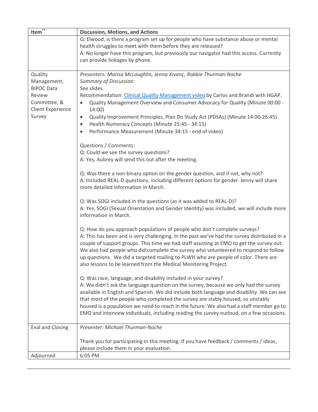| Item $\overline{\mathbf{r}^*}$                                                                              | <b>Discussion, Motions, and Actions</b>                                                                                                                                                                                                                                                                                                                                                                                                                                                                                                                                                                                                                                                                                                                                                                                                                                                                                                                                                                                                                                                                                                                                                                                                                                                                                                                                                                                                                                                                                                                     |  |  |  |  |  |  |  |
|-------------------------------------------------------------------------------------------------------------|-------------------------------------------------------------------------------------------------------------------------------------------------------------------------------------------------------------------------------------------------------------------------------------------------------------------------------------------------------------------------------------------------------------------------------------------------------------------------------------------------------------------------------------------------------------------------------------------------------------------------------------------------------------------------------------------------------------------------------------------------------------------------------------------------------------------------------------------------------------------------------------------------------------------------------------------------------------------------------------------------------------------------------------------------------------------------------------------------------------------------------------------------------------------------------------------------------------------------------------------------------------------------------------------------------------------------------------------------------------------------------------------------------------------------------------------------------------------------------------------------------------------------------------------------------------|--|--|--|--|--|--|--|
|                                                                                                             | Q: Elwood, is there a program set up for people who have substance abuse or mental                                                                                                                                                                                                                                                                                                                                                                                                                                                                                                                                                                                                                                                                                                                                                                                                                                                                                                                                                                                                                                                                                                                                                                                                                                                                                                                                                                                                                                                                          |  |  |  |  |  |  |  |
|                                                                                                             | health struggles to meet with them before they are released?                                                                                                                                                                                                                                                                                                                                                                                                                                                                                                                                                                                                                                                                                                                                                                                                                                                                                                                                                                                                                                                                                                                                                                                                                                                                                                                                                                                                                                                                                                |  |  |  |  |  |  |  |
|                                                                                                             | A: No longer have this program, but previously our navigator had this access. Currently                                                                                                                                                                                                                                                                                                                                                                                                                                                                                                                                                                                                                                                                                                                                                                                                                                                                                                                                                                                                                                                                                                                                                                                                                                                                                                                                                                                                                                                                     |  |  |  |  |  |  |  |
|                                                                                                             |                                                                                                                                                                                                                                                                                                                                                                                                                                                                                                                                                                                                                                                                                                                                                                                                                                                                                                                                                                                                                                                                                                                                                                                                                                                                                                                                                                                                                                                                                                                                                             |  |  |  |  |  |  |  |
| Quality<br>Management,<br><b>BIPOC Data</b><br>Review<br>Committee, &<br><b>Client Experience</b><br>Survey | can provide linkages by phone.<br>Presenters: Marisa McLaughlin, Jenna Kıvanç, Robbie Thurman-Noche<br><b>Summary of Discussion:</b><br>See slides.<br>Recommendation: Clinical Quality Management video by Carlos and Brandi with HGAP.<br>Quality Management Overview and Consumer Advocacy for Quality (Minute 00:00 -<br>14:00)<br>Quality Improvement Principles, Plan Do Study Act (PDSAs) (Minute 14:00-26:45)<br>$\bullet$<br>Health Numeracy Concepts (Minute 25:45 - 34:15)<br>٠<br>Performance Measurement (Minute 34:15 - end of video)<br>$\bullet$<br>Questions / Comments:<br>Q: Could we see the survey questions?<br>A: Yes, Aubrey will send this out after the meeting.<br>Q: Was there a non-binary option on the gender question, and if not, why not?<br>A: Included REAL-D questions, including different options for gender. Jenny will share<br>more detailed information in March.<br>Q: Was SOGI included in the questions (as it was added to REAL-D)?<br>A: Yes, SOGI (Sexual Orientation and Gender Identity) was included, we will include more<br>information in March.<br>Q: How do you approach populations of people who don't complete surveys?<br>A: This has been and is very challenging. In the past we've had the survey distributed in a<br>couple of support groups. This time we had staff assisting at EMO to get the survey out.<br>We also had people who did complete the survey who volunteered to respond to follow<br>up questions. We did a targeted mailing to PLWH who are people of color. There are |  |  |  |  |  |  |  |
|                                                                                                             | also lessons to be learned from the Medical Monitoring Project.<br>Q: Was race, language, and disability included in your survey?<br>A: We didn't ask the language question on the survey, because we only had the survey<br>available in English and Spanish. We did include both language and disability. We can see<br>that most of the people who completed the survey are stably housed, so unstably<br>housed is a population we need to reach in the future. We also had a staff member go to<br>EMO and interview individuals, including reading the survey outloud, on a few occasions.                                                                                                                                                                                                                                                                                                                                                                                                                                                                                                                                                                                                                                                                                                                                                                                                                                                                                                                                                            |  |  |  |  |  |  |  |
| Eval and Closing                                                                                            | Presenter: Michael Thurman-Noche                                                                                                                                                                                                                                                                                                                                                                                                                                                                                                                                                                                                                                                                                                                                                                                                                                                                                                                                                                                                                                                                                                                                                                                                                                                                                                                                                                                                                                                                                                                            |  |  |  |  |  |  |  |
|                                                                                                             | Thank you for participating in this meeting. If you have feedback / comments / ideas,<br>please include them in your evaluation.                                                                                                                                                                                                                                                                                                                                                                                                                                                                                                                                                                                                                                                                                                                                                                                                                                                                                                                                                                                                                                                                                                                                                                                                                                                                                                                                                                                                                            |  |  |  |  |  |  |  |
| Adjourned                                                                                                   | 6:05 PM                                                                                                                                                                                                                                                                                                                                                                                                                                                                                                                                                                                                                                                                                                                                                                                                                                                                                                                                                                                                                                                                                                                                                                                                                                                                                                                                                                                                                                                                                                                                                     |  |  |  |  |  |  |  |